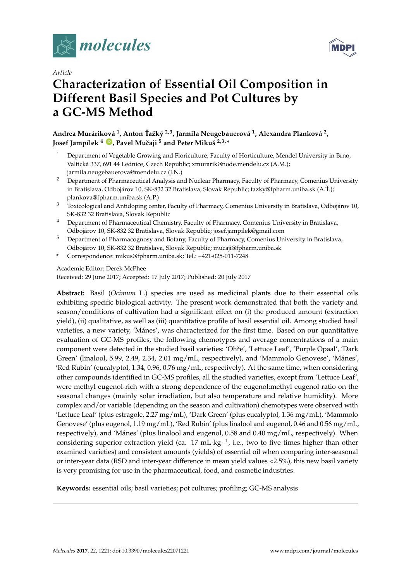



# *Article* **Characterization of Essential Oil Composition in Different Basil Species and Pot Cultures by a GC-MS Method**

**Andrea Muráriková 1 , Anton Tažk ˇ ý 2,3, Jarmila Neugebauerová 1 , Alexandra Planková 2 , Josef Jampílek <sup>4</sup> [ID](https://orcid.org/0000-0003-2003-9052) , Pavel Muˇcaji <sup>5</sup> and Peter Mikuš 2,3,\***

- <sup>1</sup> Department of Vegetable Growing and Floriculture, Faculty of Horticulture, Mendel University in Brno, Valtická 337, 691 44 Lednice, Czech Republic; xmurarik@node.mendelu.cz (A.M.); jarmila.neugebauerova@mendelu.cz (J.N.)
- <sup>2</sup> Department of Pharmaceutical Analysis and Nuclear Pharmacy, Faculty of Pharmacy, Comenius University in Bratislava, Odbojárov 10, SK-832 32 Bratislava, Slovak Republic; tazky@fpharm.uniba.sk (A.Ť.); plankova@fpharm.uniba.sk (A.P.)
- <sup>3</sup> Toxicological and Antidoping center, Faculty of Pharmacy, Comenius University in Bratislava, Odbojárov 10, SK-832 32 Bratislava, Slovak Republic
- <sup>4</sup> Department of Pharmaceutical Chemistry, Faculty of Pharmacy, Comenius University in Bratislava, Odbojárov 10, SK-832 32 Bratislava, Slovak Republic; josef.jampilek@gmail.com
- <sup>5</sup> Department of Pharmacognosy and Botany, Faculty of Pharmacy, Comenius University in Bratislava, Odbojárov 10, SK-832 32 Bratislava, Slovak Republic; mucaji@fpharm.uniba.sk
- **\*** Correspondence: mikus@fpharm.uniba.sk; Tel.: +421-025-011-7248

# Academic Editor: Derek McPhee

Received: 29 June 2017; Accepted: 17 July 2017; Published: 20 July 2017

**Abstract:** Basil (*Ocimum* L.) species are used as medicinal plants due to their essential oils exhibiting specific biological activity. The present work demonstrated that both the variety and season/conditions of cultivation had a significant effect on (i) the produced amount (extraction yield), (ii) qualitative, as well as (iii) quantitative profile of basil essential oil. Among studied basil varieties, a new variety, 'Mánes', was characterized for the first time. Based on our quantitative evaluation of GC-MS profiles, the following chemotypes and average concentrations of a main component were detected in the studied basil varieties: 'Ohře', 'Lettuce Leaf', 'Purple Opaal', 'Dark Green' (linalool, 5.99, 2.49, 2.34, 2.01 mg/mL, respectively), and 'Mammolo Genovese', 'Mánes', 'Red Rubin' (eucalyptol, 1.34, 0.96, 0.76 mg/mL, respectively). At the same time, when considering other compounds identified in GC-MS profiles, all the studied varieties, except from 'Lettuce Leaf', were methyl eugenol-rich with a strong dependence of the eugenol:methyl eugenol ratio on the seasonal changes (mainly solar irradiation, but also temperature and relative humidity). More complex and/or variable (depending on the season and cultivation) chemotypes were observed with 'Lettuce Leaf' (plus estragole, 2.27 mg/mL), 'Dark Green' (plus eucalyptol, 1.36 mg/mL), 'Mammolo Genovese' (plus eugenol, 1.19 mg/mL), 'Red Rubin' (plus linalool and eugenol, 0.46 and 0.56 mg/mL, respectively), and 'Mánes' (plus linalool and eugenol, 0.58 and 0.40 mg/mL, respectively). When considering superior extraction yield (ca. 17 mL·kg<sup>-1</sup>, i.e., two to five times higher than other examined varieties) and consistent amounts (yields) of essential oil when comparing inter-seasonal or inter-year data (RSD and inter-year difference in mean yield values <2.5%), this new basil variety is very promising for use in the pharmaceutical, food, and cosmetic industries.

**Keywords:** essential oils; basil varieties; pot cultures; profiling; GC-MS analysis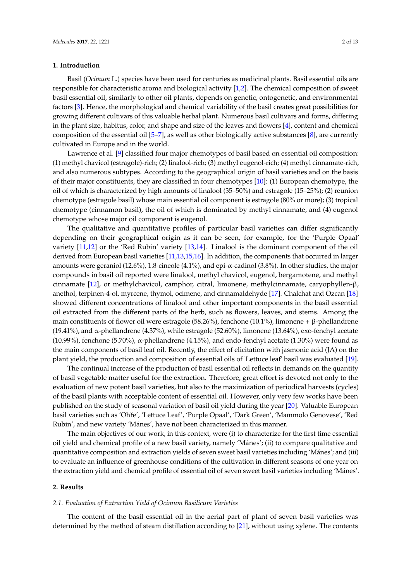### **1. Introduction**

Basil (*Ocimum* L.) species have been used for centuries as medicinal plants. Basil essential oils are responsible for characteristic aroma and biological activity [\[1,](#page-11-0)[2\]](#page-11-1). The chemical composition of sweet basil essential oil, similarly to other oil plants, depends on genetic, ontogenetic, and environmental factors [\[3\]](#page-11-2). Hence, the morphological and chemical variability of the basil creates great possibilities for growing different cultivars of this valuable herbal plant. Numerous basil cultivars and forms, differing in the plant size, habitus, color, and shape and size of the leaves and flowers [\[4\]](#page-11-3), content and chemical composition of the essential oil [\[5](#page-11-4)[–7\]](#page-11-5), as well as other biologically active substances [\[8\]](#page-11-6), are currently cultivated in Europe and in the world.

Lawrence et al. [\[9\]](#page-11-7) classified four major chemotypes of basil based on essential oil composition: (1) methyl chavicol (estragole)-rich; (2) linalool-rich; (3) methyl eugenol-rich; (4) methyl cinnamate-rich, and also numerous subtypes. According to the geographical origin of basil varieties and on the basis of their major constituents, they are classified in four chemotypes [\[10\]](#page-11-8): (1) European chemotype, the oil of which is characterized by high amounts of linalool (35–50%) and estragole (15–25%); (2) reunion chemotype (estragole basil) whose main essential oil component is estragole (80% or more); (3) tropical chemotype (cinnamon basil), the oil of which is dominated by methyl cinnamate, and (4) eugenol chemotype whose major oil component is eugenol.

The qualitative and quantitative profiles of particular basil varieties can differ significantly depending on their geographical origin as it can be seen, for example, for the 'Purple Opaal' variety [\[11](#page-12-0)[,12\]](#page-12-1) or the 'Red Rubin' variety [\[13,](#page-12-2)[14\]](#page-12-3). Linalool is the dominant component of the oil derived from European basil varieties [\[11](#page-12-0)[,13](#page-12-2)[,15](#page-12-4)[,16\]](#page-12-5). In addition, the components that occurred in larger amounts were geraniol (12.6%), 1.8-cineole (4.1%), and epi-α-cadinol (3.8%). In other studies, the major compounds in basil oil reported were linalool, methyl chavicol, eugenol, bergamotene, and methyl cinnamate [\[12\]](#page-12-1), or methylchavicol, camphor, citral, limonene, methylcinnamate, caryophyllen-β, anethol, terpinen-4-ol, myrcene, thymol, ocimene, and cinnamaldehyde [\[17\]](#page-12-6). Chalchat and Özcan [\[18\]](#page-12-7) showed different concentrations of linalool and other important components in the basil essential oil extracted from the different parts of the herb, such as flowers, leaves, and stems. Among the main constituents of flower oil were estragole (58.26%), fenchone (10.1%), limonene + β-phellandrene (19.41%), and  $\alpha$ -phellandrene (4.37%), while estragole (52.60%), limonene (13.64%), exo-fenchyl acetate (10.99%), fenchone (5.70%),  $\alpha$ -phellandrene (4.15%), and endo-fenchyl acetate (1.30%) were found as the main components of basil leaf oil. Recently, the effect of elicitation with jasmonic acid (JA) on the plant yield, the production and composition of essential oils of 'Lettuce leaf' basil was evaluated [\[19\]](#page-12-8).

The continual increase of the production of basil essential oil reflects in demands on the quantity of basil vegetable matter useful for the extraction. Therefore, great effort is devoted not only to the evaluation of new potent basil varieties, but also to the maximization of periodical harvests (cycles) of the basil plants with acceptable content of essential oil. However, only very few works have been published on the study of seasonal variation of basil oil yield during the year [\[20\]](#page-12-9). Valuable European basil varieties such as 'Ohře', 'Lettuce Leaf', 'Purple Opaal', 'Dark Green', 'Mammolo Genovese', 'Red Rubin', and new variety 'Mánes', have not been characterized in this manner.

The main objectives of our work, in this context, were (i) to characterize for the first time essential oil yield and chemical profile of a new basil variety, namely 'Mánes'; (ii) to compare qualitative and quantitative composition and extraction yields of seven sweet basil varieties including 'Mánes'; and (iii) to evaluate an influence of greenhouse conditions of the cultivation in different seasons of one year on the extraction yield and chemical profile of essential oil of seven sweet basil varieties including 'Mánes'.

### **2. Results**

### *2.1. Evaluation of Extraction Yield of Ocimum Basilicum Varieties*

The content of the basil essential oil in the aerial part of plant of seven basil varieties was determined by the method of steam distillation according to [\[21\]](#page-12-10), without using xylene. The contents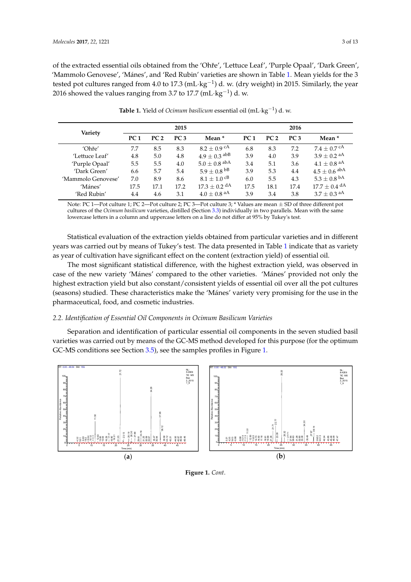of the extracted essential oils obtained from the 'Ohře', 'Lettuce Leaf', 'Purple Opaal', 'Dark Green', 'Mammolo Genovese', 'Mánes', and 'Red Rubin' varieties are shown in Tab[le](#page-2-0) 1. Mean yields for the 3 tested pot cultures ranged from 4.0 to 17.3 (mL·kg<sup>-1</sup>) d. w. (dry weight) in 2015. Similarly, the year 2016 showed the values ranging from 3.7 to 17.7 (mL·kg<sup>-1</sup>) d. w.

<span id="page-2-0"></span>

| Variety            |                 |                 | 2015            |                              | 2016            |                 |                 |                           |  |  |  |  |  |
|--------------------|-----------------|-----------------|-----------------|------------------------------|-----------------|-----------------|-----------------|---------------------------|--|--|--|--|--|
|                    | PC <sub>1</sub> | PC <sub>2</sub> | PC <sub>3</sub> | Mean <sup>*</sup>            | PC <sub>1</sub> | PC <sub>2</sub> | PC <sub>3</sub> | Mean *                    |  |  |  |  |  |
| 'Ohře'             | 7.7             | 8.5             | 8.3             | $8.2\pm0.9$ <sup>cA</sup>    | 6.8             | 8.3             | 7.2             | $7.4\pm0.7$ <sup>cA</sup> |  |  |  |  |  |
| 'Lettuce Leaf'     | 4.8             | 5.0             | 4.8             | $4.9\pm0.3$ abB              | 3.9             | 4.0             | 3.9             | $3.9\pm0.2$ aA            |  |  |  |  |  |
| 'Purple Opaal'     | 5.5             | 5.5             | 4.0             | $5.0\pm0.8$ abA              | 3.4             | 5.1             | 3.6             | $4.1\pm0.8$ aA            |  |  |  |  |  |
| 'Dark Green'       | 6.6             | 5.7             | 5.4             | $5.9\pm0.8$ $^{\text{bB}}$   | 3.9             | 5.3             | 4.4             | $4.5\pm0.6$ abA           |  |  |  |  |  |
| 'Mammolo Genovese' | 7.0             | 8.9             | 8.6             | $8.1 \pm 1.0$ cB             | 6.0             | 5.5             | 4.3             | $5.3\pm0.8$ <sup>bA</sup> |  |  |  |  |  |
| 'Mánes'            | 17.5            | 17.1            | 17.2            | $17.3 \pm 0.2$ <sup>dA</sup> | 17.5            | 18.1            | 17.4            | $17.7\pm0.4$ dA           |  |  |  |  |  |
| 'Red Rubin'        | 4.4             | 4.6             | 3.1             | $4.0\pm0.8$ aA               | 3.9             | 3.4             | 3.8             | $3.7\pm0.3$ aA            |  |  |  |  |  |

**Table 1.** Yield of *Ocimum basilicum* essential oil (mL·kg−<sup>1</sup> ) d. w. **Table 1.** Yield of *Ocimum basilicum* essential oil (mL·kg<sup>−</sup>1) d. w.

Note: PC 1—Pot culture 1; PC 2—Pot culture 2; PC 3—Pot culture 3; \* Values are mean  $\pm$  SD of three different pot cultures of the *Ocimum basilicum* varieties, distilled (Section 3.3) individually in two parallels. Mean with the same<br>lowercase letters in [a co](#page-9-0)lumn and uppercase letters on a line do not differ at 95% by Tukey's test. lowercase letters in a column and uppercase letters on a line do not differ at 95% by Tukey's test.

Statistical evaluation of the extraction yields obtained from particular varieties and in different Statistical evaluation of the extraction yields obtained from particular varieties and in different<br>years was carried out by means of Tukey's test. The data presented in Table [1](#page-2-0) indicate that as variety as year of cultivation have significant effect on the content (extraction yield) of essential oil. as year of cultivation have significant effect on the content (extraction yield) of essential oil.

The most significant statistical difference, with the highest extraction yield, was observed in The most significant statistical difference, with the highest extraction yield, was observed in case of the new variety 'Mánes' compared to the other varieties. 'Mánes' provided not only the case of the new variety 'Mánes' compared to the other varieties. 'Mánes' provided not only the<br>highest extraction yield but also constant/consistent yields of essential oil over all the pot cultures (seasons) studied. These characteristics make the 'Mánes' variety very promising for the use in the<br>pharmaceutical, food, and cosmetic industries. pharmaceutical, food, and cosmetic industries.

# *2.2. Identification of Essential Oil Components in Ocimum Basilicum Varieties 2.2. Identification of Essential Oil Components in Ocimum Basilicum Varieties*

Separation and identification of particular essential oil components in the seven studied basil Separation and identification of particular essential oil components in the seven studied basil varieties was carried out by means of the GC-MS method developed for this purpose (for the optimum varieties was carried out by means of the GC-MS method developed for this purpose (for the optimum GC-MS conditions see Section [3.5\)](#page-10-0), see the samples profiles in Figure 1. GC-MS conditions see Section 3.5), see the samples profiles in Figur[e 1](#page-3-0).



**Figure 1.** *Cont*.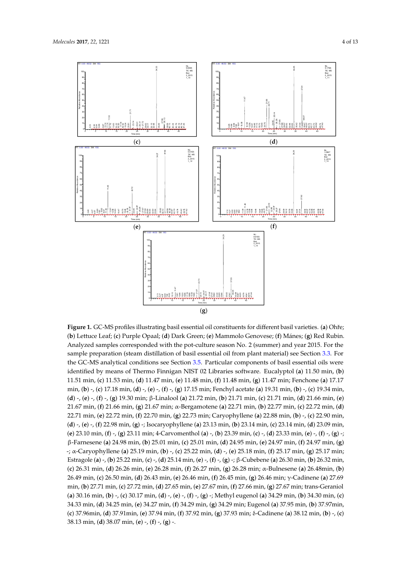<span id="page-3-0"></span>

Figure 1. GC-MS profiles illustrating basil essential oil constituents for different basil varieties. (a) Ohře; Ohře; (**b**) Lettuce Leaf; (**c**) Purple Opaal; (**d**) Dark Green; (**e**) Mammolo Genovese; (**f**) Mánes; (**g**) Red (**b**) Lettuce Leaf; (c) Purple Opaal; (**d**) Dark Green; (e) Mammolo Genovese; (f) Mánes; (g) Red Rubin. Analyzed samples corresponded with the pot-culture season No. 2 (summer) and year 2015. For the sample preparation (steam distillation of basil essential oil from plant material) see Section [3.3.](#page-9-0) For the GC-MS analytical conditions see Section [3.5.](#page-10-0) Particular components of basil essential oils were identified by means of Thermo Finnigan NIST 02 Libraries software. Eucalyptol (a) 11.50 min, (b) 11.51 min, (c) 11.53 min, (d) 11.47 min, (e) 11.48 min, (f) 11.48 min, (g) 11.47 min; Fenchone (a) 17.17 min, (b) -, (c) 17.18 min, (d) -, (e) -, (f) -, (g) 17.15 min; Fenchyl acetate (a) 19.31 min, (b) -, (c) 19.34 min, (d) -, (e) -, (f) -, (g) 19.30 min;  $\beta$ -Linalool (a) 21.72 min, (b) 21.71 min, (c) 21.71 min, (d) 21.66 min, (e) 21.67 min, (f) 21.66 min, (g) 21.67 min; α-Bergamotene (a) 22.71 min, (b) 22.77 min, (c) 22.72 min, (d) 22.71 min, (e) 22.72 min, (f) 22.70 min, (g) 22.73 min; Caryophyllene (a) 22.88 min, (b) -, (c) 22.90 min, 23.09 min, (**e**) 23.10 min, (**f**) -, (**g**) 23.11 min; 4-Carvomenthol (**a**) -, (**b**) 23.39 min, (**c**) -, (**d**) 23.33 min, (**e**) (d) -, (e) -, (f) 22.98 min, (g) -; Isocaryophyllene (a) 23.13 min, (b) 23.14 min, (c) 23.14 min, (d) 23.09 min, (e) 23.10 min, (f) -, (g) 23.11 min; 4-Carvomenthol (a) -, (b) 23.39 min, (c) -, (d) 23.33 min, (e) -, (f) -, (g) -; β-Farnesene (a) 24.98 min, (b) 25.01 min, (c) 25.01 min, (d) 24.95 min, (e) 24.97 min, (f) 24.97 min, (g) -; α-Caryophyllene (a) 25.19 min, (b) -, (c) 25.22 min, (d) -, (e) 25.18 min, (f) 25.17 min, (g) 25.17 min; Estragole (**a**) -, (**b**) 25.22 min, (**c**) -, (**d**) 25.14 min, (**e**) -, (**f**) -, (**g**) -; β-Cubebene (**a**) 26.30 min, (**b**) 26.32 min, (c) 26.31 min, (d) 26.26 min, (e) 26.28 min, (f) 26.27 min, (g) 26.28 min;  $\alpha$ -Bulnesene (a) 26.48min, (b) 26.49 min, (c) 26.50 min, (d) 26.43 min, (e) 26.46 min, (f) 26.45 min, (g) 26.46 min; γ-Cadinene (a) 27.69 min, (b) 27.71 min, (c) 27.72 min, (d) 27.65 min, (e) 27.67 min, (f) 27.66 min, (g) 27.67 min; trans-Geraniol (a) 30.16 min, (b) -, (c) 30.17 min, (d) -, (e) -, (f) -, (g) -; Methyl eugenol (a) 34.29 min, (b) 34.30 min, (c) 34.33 min, (d) 34.25 min, (e) 34.27 min, (f) 34.29 min, (g) 34.29 min; Eugenol (a) 37.95 min, (b) 37.97 min, (**c**) 37.96min, (**d**) 37.91min, (**e**) 37.94 min, (**f**) 37.92 min, (**g**) 37.93 min; δ-Cadinene (**a**) 38.12 min, (**b**) -, (**c**) 38.13 min, (**d**) 38.07 min, (**e**) -, (**f**) -, (**g**) -.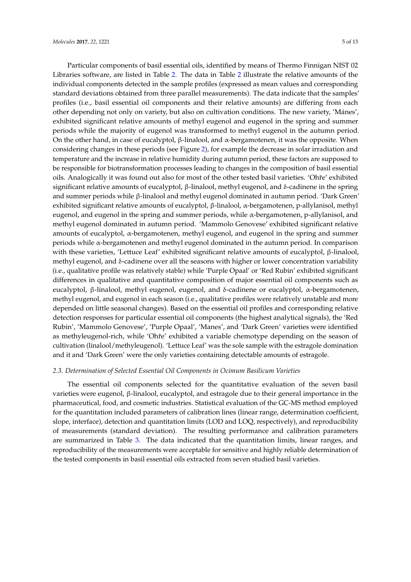Particular components of basil essential oils, identified by means of Thermo Finnigan NIST 02 Libraries software, are listed in Table [2.](#page-5-0) The data in Table [2](#page-5-0) illustrate the relative amounts of the individual components detected in the sample profiles (expressed as mean values and corresponding standard deviations obtained from three parallel measurements). The data indicate that the samples' profiles (i.e., basil essential oil components and their relative amounts) are differing from each other depending not only on variety, but also on cultivation conditions. The new variety, 'Mánes', exhibited significant relative amounts of methyl eugenol and eugenol in the spring and summer periods while the majority of eugenol was transformed to methyl eugenol in the autumn period. On the other hand, in case of eucalyptol, β-linalool, and  $α$ -bergamotenen, it was the opposite. When considering changes in these periods (see Figure [2\)](#page-9-1), for example the decrease in solar irradiation and temperature and the increase in relative humidity during autumn period, these factors are supposed to be responsible for biotransformation processes leading to changes in the composition of basil essential oils. Analogically it was found out also for most of the other tested basil varieties. 'Ohře' exhibited significant relative amounts of eucalyptol, β-linalool, methyl eugenol, and δ-cadinene in the spring and summer periods while β-linalool and methyl eugenol dominated in autumn period. 'Dark Green' exhibited significant relative amounts of eucalyptol, β-linalool, α-bergamotenen, p-allylanisol, methyl eugenol, and eugenol in the spring and summer periods, while α-bergamotenen, p-allylanisol, and methyl eugenol dominated in autumn period. 'Mammolo Genovese' exhibited significant relative amounts of eucalyptol, α-bergamotenen, methyl eugenol, and eugenol in the spring and summer periods while α-bergamotenen and methyl eugenol dominated in the autumn period. In comparison with these varieties, 'Lettuce Leaf' exhibited significant relative amounts of eucalyptol, β-linalool, methyl eugenol, and δ-cadinene over all the seasons with higher or lower concentration variability (i.e., qualitative profile was relatively stable) while 'Purple Opaal' or 'Red Rubin' exhibited significant differences in qualitative and quantitative composition of major essential oil components such as eucalyptol, β-linalool, methyl eugenol, eugenol, and δ-cadinene or eucalyptol, α-bergamotenen, methyl eugenol, and eugenol in each season (i.e., qualitative profiles were relatively unstable and more depended on little seasonal changes). Based on the essential oil profiles and corresponding relative detection responses for particular essential oil components (the highest analytical signals), the 'Red Rubin', 'Mammolo Genovese', 'Purple Opaal', 'Manes', and 'Dark Green' varieties were identified as methyleugenol-rich, while 'Ohře' exhibited a variable chemotype depending on the season of cultivation (linalool/methyleugenol). 'Lettuce Leaf' was the sole sample with the estragole domination and it and 'Dark Green' were the only varieties containing detectable amounts of estragole.

# *2.3. Determination of Selected Essential Oil Components in Ocimum Basilicum Varieties*

The essential oil components selected for the quantitative evaluation of the seven basil varieties were eugenol, β-linalool, eucalyptol, and estragole due to their general importance in the pharmaceutical, food, and cosmetic industries. Statistical evaluation of the GC-MS method employed for the quantitation included parameters of calibration lines (linear range, determination coefficient, slope, interface), detection and quantitation limits (LOD and LOQ, respectively), and reproducibility of measurements (standard deviation). The resulting performance and calibration parameters are summarized in Table [3.](#page-6-0) The data indicated that the quantitation limits, linear ranges, and reproducibility of the measurements were acceptable for sensitive and highly reliable determination of the tested components in basil essential oils extracted from seven studied basil varieties.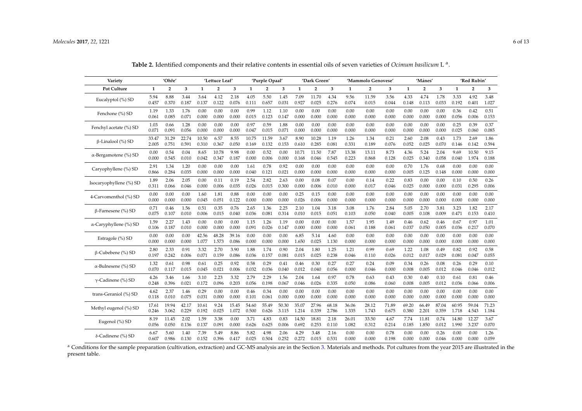| Variety                       | 'Ohře'       |                |       | 'Lettuce Leaf' |                |       | 'Purple Opaal' |                |       | 'Dark Green' |                |       | 'Mammolo Genovese' |                |       | 'Mánes' |                |       | 'Red Rubin' |                |       |
|-------------------------------|--------------|----------------|-------|----------------|----------------|-------|----------------|----------------|-------|--------------|----------------|-------|--------------------|----------------|-------|---------|----------------|-------|-------------|----------------|-------|
| <b>Pot Culture</b>            | $\mathbf{1}$ | $\overline{2}$ | 3     | 1              | $\overline{2}$ | 3     | 1              | $\overline{2}$ | 3     | 1            | $\overline{2}$ | 3     | 1                  | $\overline{2}$ | 3     | 1       | $\overline{2}$ | 3     | 1           | $\overline{2}$ | 3     |
| Eucalyptol (%) SD             | 5.94         | 8.88           | 3.44  | 3.64           | 4.12           | 2.18  | 4.05           | 5.50           | 1.45  | 7.09         | 11.70          | 4.34  | 9.56               | 11.59          | 3.56  | 4.33    | 4.74           | 1.78  | 3.33        | 4.92           | 3.48  |
|                               | 0.457        | 0.370          | 0.187 | 0.137          | 0.122          | 0.076 | 0.111          | 0.657          | 0.031 | 0.927        | 0.025          | 0.276 | 0.074              | 0.015          | 0.044 | 0.148   | 0.113          | 0.033 | 0.192       | 0.401          | 1.027 |
| Fenchone (%) SD               | 1.19         | 1.33           | 1.76  | 0.00           | 0.00           | 0.00  | 0.99           | 1.12           | 1.10  | 0.00         | 0.00           | 0.00  | 0.00               | 0.00           | 0.00  | 0.00    | 0.00           | 0.00  | 0.36        | 0.42           | 0.51  |
|                               | 0.061        | 0.085          | 0.071 | 0.000          | 0.000          | 0.000 | 0.015          | 0.123          | 0.147 | 0.000        | 0.000          | 0.000 | 0.000              | 0.000          | 0.000 | 0.000   | 0.000          | 0.000 | 0.056       | 0.006          | 0.153 |
| Fenchyl acetate (%) SD        | 1.03         | 0.66           | 1.28  | 0.00           | 0.00           | 0.00  | 0.97           | 0.59           | 1.88  | 0.00         | 0.00           | 0.00  | 0.00               | 0.00           | 0.00  | 0.00    | 0.00           | 0.00  | 0.25        | 0.39           | 0.37  |
|                               | 0.071        | 0.091          | 0.056 | 0.000          | 0.000          | 0.000 | 0.047          | 0.015          | 0.071 | 0.000        | 0.000          | 0.000 | 0.000              | 0.000          | 0.000 | 0.000   | 0.000          | 0.000 | 0.025       | 0.060          | 0.085 |
| $\beta$ -Linalool (%) SD      | 33.47        | 31.29          | 22.74 | 10.50          | 6.57           | 8.55  | 10.75          | 11.59          | 3.67  | 8.90         | 10.28          | 1.19  | 1.26               | 1.34           | 0.21  | 2.60    | 2.08           | 0.43  | 1.73        | 2.69           | 1.86  |
|                               | 2.005        | 0.751          | 0.591 | 0.310          | 0.367          | 0.050 | 0.169          | 0.132          | 0.153 | 0.610        | 0.285          | 0.081 | 0.331              | 0.189          | 0.076 | 0.052   | 0.025          | 0.070 | 0.146       | 0.142          | 0.594 |
| $\alpha$ -Bergamotene (%) SD  | 0.00         | 0.54           | 0.04  | 8.65           | 10.78          | 9.98  | 0.00           | 0.52           | 0.00  | 10.71        | 11.50          | 7.87  | 13.38              | 13.11          | 8.73  | 4.36    | 5.24           | 2.04  | 9.69        | 10.50          | 9.15  |
|                               | 0.000        | 0.545          | 0.010 | 0.042          | 0.347          | 0.187 | 0.000          | 0.006          | 0.000 | 0.168        | 0.046          | 0.545 | 0.223              | 0.868          | 0.128 | 0.025   | 0.340          | 0.058 | 0.040       | 1.974          | 0.188 |
| Caryophyllene (%) SD          | 2.91         | 1.34           | 1.20  | 0.00           | 0.00           | 0.00  | 1.61           | 0.78           | 0.92  | 0.00         | 0.00           | 0.00  | 0.00               | 0.00           | 0.00  | 0.70    | 1.76           | 0.68  | 0.00        | 0.00           | 0.00  |
|                               | 0.866        | 0.284          | 0.035 | 0.000          | 0.000          | 0.000 | 0.040          | 0.121          | 0.021 | 0.000        | 0.000          | 0.000 | 0.000              | 0.000          | 0.000 | 0.005   | 0.125          | 0.148 | 0.000       | 0.000          | 0.000 |
| Isocaryophyllene (%) SD       | 1.89         | 2.06           | 2.05  | 0.00           | 0.11           | 0.19  | 2.54           | 2.82           | 2.63  | 0.00         | 0.08           | 0.07  | 0.00               | 0.14           | 0.22  | 0.83    | 0.00           | 0.00  | 0.10        | 0.50           | 0.26  |
|                               | 0.311        | 0.066          | 0.046 | 0.000          | 0.006          | 0.035 | 0.026          | 0.015          | 0.300 | 0.000        | 0.006          | 0.010 | 0.000              | 0.017          | 0.046 | 0.025   | 0.000          | 0.000 | 0.031       | 0.295          | 0.006 |
| 4-Carvomenthol (%) SD         | 0.00         | 0.00           | 0.00  | 1.60           | 1.81           | 0.88  | 0.00           | 0.00           | 0.00  | 0.25         | 0.15           | 0.00  | 0.00               | 0.00           | 0.00  | 0.00    | 0.00           | 0.00  | 0.00        | 0.00           | 0.00  |
|                               | 0.000        | 0.000          | 0.000 | 0.045          | 0.051          | 0.122 | 0.000          | 0.000          | 0.000 | 0.026        | 0.006          | 0.000 | 0.000              | 0.000          | 0.000 | 0.000   | 0.000          | 0.000 | 0.000       | 0.000          | 0.000 |
| $\beta$ -Farnesene (%) SD     | 0.71         | 0.46           | 1.56  | 0.51           | 0.35           | 0.76  | 2.65           | 1.36           | 2.25  | 2.10         | 1.04           | 3.18  | 3.08               | 1.76           | 2.84  | 5.05    | 2.70           | 3.81  | 3.23        | 1.82           | 2.17  |
|                               | 0.075        | 0.107          | 0.010 | 0.006          | 0.015          | 0.040 | 0.036          | 0.081          | 0.314 | 0.010        | 0.015          | 0.051 | 0.103              | 0.050          | 0.040 | 0.005   | 0.108          | 0.009 | 0.471       | 0.153          | 0.410 |
| $\alpha$ -Caryphyllene (%) SD | 1.59         | 2.27           | 1.43  | 0.00           | 0.00           | 0.00  | 1.15           | 1.26           | 1.19  | 0.00         | 0.00           | 0.00  | 1.57               | 1.95           | 1.49  | 0.46    | 0.62           | 0.46  | 0.67        | 0.97           | 1.01  |
|                               | 0.106        | 0.187          | 0.010 | 0.000          | 0.000          | 0.000 | 0.091          | 0.026          | 0.147 | 0.000        | 0.000          | 0.000 | 0.061              | 0.188          | 0.061 | 0.037   | 0.050          | 0.005 | 0.036       | 0.217          | 0.070 |
| Estragole (%) SD              | 0.00         | 0.00           | 0.00  | 42.56          | 48.28          | 39.16 | 0.00           | 0.00           | 0.00  | 6.85         | 5.14           | 4.60  | 0.00               | 0.00           | 0.00  | 0.00    | 0.00           | 0.00  | 0.00        | 0.00           | 0.00  |
|                               | 0.000        | 0.000          | 0.000 | 1.077          | 1.573          | 0.086 | 0.000          | 0.000          | 0.000 | 1.650        | 0.025          | 1.130 | 0.000              | 0.000          | 0.000 | 0.000   | 0.000          | 0.000 | 0.000       | 0.000          | 0.000 |
| $\beta$ -Cubebene (%) SD      | 2.80         | 2.33           | 0.91  | 3.32           | 2.70           | 3.90  | 1.88           | 1.74           | 0.90  | 2.04         | 1.80           | 1.25  | 1.21               | 0.99           | 0.69  | 1.22    | 1.08           | 0.49  | 0.82        | 0.92           | 0.58  |
|                               | 0.197        | 0.242          | 0.006 | 0.071          | 0.159          | 0.086 | 0.036          | 0.157          | 0.081 | 0.015        | 0.025          | 0.238 | 0.046              | 0.110          | 0.026 | 0.012   | 0.017          | 0.029 | 0.081       | 0.047          | 0.055 |
| $\alpha$ -Bulnesene (%) SD    | 1.32         | 0.61           | 0.98  | 0.61           | 0.25           | 0.92  | 0.58           | 0.29           | 0.41  | 0.46         | 0.30           | 0.27  | 0.27               | 0.24           | 0.09  | 0.34    | 0.26           | 0.08  | 0.26        | 0.29           | 0.10  |
|                               | 0.070        | 0.117          | 0.015 | 0.045          | 0.021          | 0.006 | 0.032          | 0.036          | 0.040 | 0.012        | 0.040          | 0.056 | 0.000              | 0.046          | 0.000 | 0.008   | 0.005          | 0.012 | 0.046       | 0.046          | 0.012 |
| $\gamma$ -Cadinene (%) SD     | 4.26         | 3.46           | 1.66  | 3.10           | 2.23           | 3.32  | 2.79           | 2.29           | 1.56  | 2.04         | 1.64           | 0.97  | 0.78               | 0.63           | 0.43  | 0.30    | 0.40           | 0.10  | 0.61        | 0.81           | 0.46  |
|                               | 0.248        | 0.396          | 0.021 | 0.172          | 0.096          | 0.203 | 0.056          | 0.198          | 0.067 | 0.046        | 0.026          | 0.335 | 0.050              | 0.086          | 0.060 | 0.008   | 0.005          | 0.012 | 0.036       | 0.066          | 0.006 |
| trans-Geraniol (%) SD         | 4.62         | 2.37           | 1.46  | 0.29           | 0.00           | 0.00  | 0.46           | 0.34           | 0.00  | 0.00         | 0.00           | 0.00  | 0.00               | 0.00           | 0.00  | 0.00    | 0.00           | 0.00  | 0.00        | 0.00           | 0.00  |
|                               | 0.118        | 0.010          | 0.075 | 0.031          | 0.000          | 0.000 | 0.101          | 0.061          | 0.000 | 0.000        | 0.000          | 0.000 | 0.000              | 0.000          | 0.000 | 0.000   | 0.000          | 0.000 | 0.000       | 0.000          | 0.000 |
| Methyl eugenol (%) SD         | 17.61        | 19.94          | 42.17 | 10.61          | 9.24           | 15.45 | 54.60          | 55.49          | 50.30 | 35.07        | 27.96          | 68.18 | 36.06              | 28.12          | 71.89 | 69.20   | 66.49          | 87.04 | 60.95       | 59.04          | 71.23 |
|                               | 0.246        | 3.062          | 0.229 | 0.192          | 0.025          | 1.072 | 0.500          | 0.626          | 3.115 | 1.214        | 0.339          | 2.786 | 1.335              | 1.743          | 0.675 | 0.380   | 2.201          | 0.359 | 1.718       | 4.543          | 1.184 |
| Eugenol (%) SD                | 8.19         | 11.45          | 2.02  | 1.59           | 3.38           | 0.00  | 3.71           | 4.83           | 0.83  | 14.50        | 18.81          | 2.18  | 26.01              | 33.50          | 4.67  | 7.74    | 11.81          | 0.74  | 14.80       | 12.27          | 3.67  |
|                               | 0.056        | 0.050          | 0.136 | 0.137          | 0.091          | 0.000 | 0.626          | 0.625          | 0.006 | 0.692        | 0.253          | 0.110 | 1.082              | 0.312          | 0.214 | 0.185   | 1.850          | 0.012 | 1.990       | 3.237          | 0.070 |
| δ-Cadinene (%) SD             | 6.67         | 5.60           | 1.40  | 7.39           | 5.49           | 8.86  | 5.82           | 4.98           | 2.06  | 4.29         | 3.48           | 2.16  | 0.00               | 0.00           | 0.78  | 0.00    | 0.00           | 0.26  | 0.00        | 0.00           | 1.26  |
|                               | 0.607        | 0.986          | 0.130 | 0.152          | 0.396          | 0.417 | 0.025          | 0.504          | 0.252 | 0.272        | 0.015          | 0.531 | 0.000              | 0.000          | 0.198 | 0.000   | 0.000          | 0.046 | 0.000       | 0.000          | 0.059 |

Table 2. Identified components and their relative contents in essential oils of seven varieties of *Ocimum basilicum* L<sup>a</sup>.

<span id="page-5-0"></span><sup>a</sup> Conditions for the sample preparation (cultivation, extraction) and GC-MS analysis are in the Section [3.](#page-8-0) Materials and methods. Pot cultures from the year 2015 are illustrated in the present table.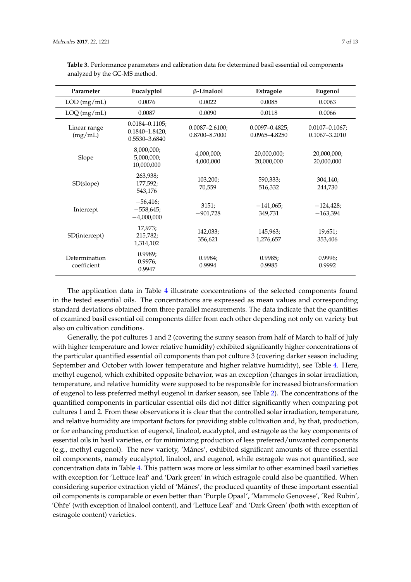| Parameter                    | Eucalyptol                                                  | $\beta$ -Linalool                    | Estragole                            | Eugenol                              |
|------------------------------|-------------------------------------------------------------|--------------------------------------|--------------------------------------|--------------------------------------|
| LOD(mg/mL)                   | 0.0076                                                      | 0.0022                               | 0.0085                               | 0.0063                               |
| $LOQ$ (mg/mL)                | 0.0087                                                      | 0.0090                               | 0.0118                               | 0.0066                               |
| Linear range<br>(mg/mL)      | $0.0184 - 0.1105$ ;<br>$0.1840 - 1.8420$ ;<br>0.5530-3.6840 | $0.0087 - 2.6100$ ;<br>0.8700-8.7000 | $0.0097 - 0.4825$ ;<br>0.0965-4.8250 | $0.0107 - 0.1067$ ;<br>0.1067-3.2010 |
| Slope                        | 8,000,000;<br>5,000,000;<br>10,000,000                      | 4,000,000;<br>4,000,000              | 20,000,000;<br>20,000,000            | 20,000,000;<br>20,000,000            |
| SD(slope)                    | 263,938;<br>177,592;<br>543,176                             | 103,200;<br>70,559                   | 590,333;<br>516,332                  | 304,140;<br>244,730                  |
| Intercept                    | $-56,416;$<br>$-558,645;$<br>$-4,000,000$                   | 3151;<br>$-901,728$                  | $-141,065;$<br>349,731               | $-124,428;$<br>$-163,394$            |
| SD(intercept)                | 17,973;<br>215,782;<br>1,314,102                            | 142,033;<br>356,621                  | 145,963;<br>1,276,657                | 19,651;<br>353,406                   |
| Determination<br>coefficient | 0.9989;<br>0.9976;<br>0.9947                                | 0.9984;<br>0.9994                    | 0.9985;<br>0.9985                    | 0.9996;<br>0.9992                    |

<span id="page-6-0"></span>**Table 3.** Performance parameters and calibration data for determined basil essential oil components analyzed by the GC-MS method.

The application data in Table [4](#page-7-0) illustrate concentrations of the selected components found in the tested essential oils. The concentrations are expressed as mean values and corresponding standard deviations obtained from three parallel measurements. The data indicate that the quantities of examined basil essential oil components differ from each other depending not only on variety but also on cultivation conditions.

Generally, the pot cultures 1 and 2 (covering the sunny season from half of March to half of July with higher temperature and lower relative humidity) exhibited significantly higher concentrations of the particular quantified essential oil components than pot culture 3 (covering darker season including September and October with lower temperature and higher relative humidity), see Table [4.](#page-7-0) Here, methyl eugenol, which exhibited opposite behavior, was an exception (changes in solar irradiation, temperature, and relative humidity were supposed to be responsible for increased biotransformation of eugenol to less preferred methyl eugenol in darker season, see Table [2\)](#page-5-0). The concentrations of the quantified components in particular essential oils did not differ significantly when comparing pot cultures 1 and 2. From these observations it is clear that the controlled solar irradiation, temperature, and relative humidity are important factors for providing stable cultivation and, by that, production, or for enhancing production of eugenol, linalool, eucalyptol, and estragole as the key components of essential oils in basil varieties, or for minimizing production of less preferred/unwanted components (e.g., methyl eugenol). The new variety, 'Mánes', exhibited significant amounts of three essential oil components, namely eucalyptol, linalool, and eugenol, while estragole was not quantified, see concentration data in Table [4.](#page-7-0) This pattern was more or less similar to other examined basil varieties with exception for 'Lettuce leaf' and 'Dark green' in which estragole could also be quantified. When considering superior extraction yield of 'Mánes', the produced quantity of these important essential oil components is comparable or even better than 'Purple Opaal', 'Mammolo Genovese', 'Red Rubin', 'Ohˇre' (with exception of linalool content), and 'Lettuce Leaf' and 'Dark Green' (both with exception of estragole content) varieties.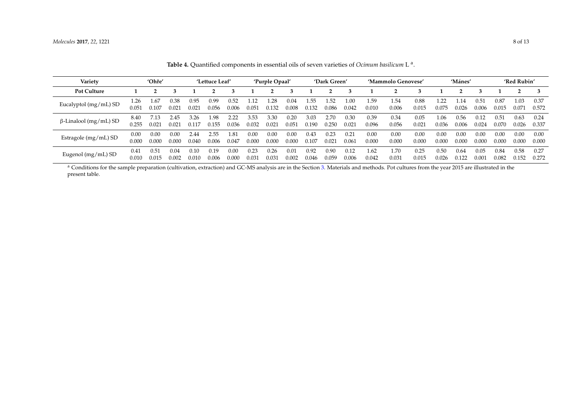| Variety                      | 'Ohře'        |               | 'Lettuce Leaf' |               |               | 'Purple Opaal' |               |               | 'Dark Green'  |               |               | 'Mammolo Genovese' |               |               | 'Mánes'       |               |               | 'Red Rubin'   |               |               |               |
|------------------------------|---------------|---------------|----------------|---------------|---------------|----------------|---------------|---------------|---------------|---------------|---------------|--------------------|---------------|---------------|---------------|---------------|---------------|---------------|---------------|---------------|---------------|
| <b>Pot Culture</b>           |               |               |                |               |               |                |               |               |               |               |               |                    |               |               |               |               |               |               |               |               |               |
| Eucalyptol (mg/mL) SD        | 1.26<br>0.051 | . 67<br>0.107 | 0.38<br>0.021  | 0.95<br>0.021 | 0.99<br>0.056 | 0.52<br>0.006  | .12<br>0.051  | .28<br>0.132  | 0.04<br>0.008 | . 55<br>0.132 | .52<br>0.086  | 0.00<br>0.042      | 1.59<br>0.010 | 1.54<br>0.006 | 0.88<br>0.015 | 0.075         | .14<br>0.026  | 0.51<br>0.006 | 0.87<br>0.015 | 1.03<br>0.071 | 0.37<br>0.572 |
| $\beta$ -Linalool (mg/mL) SD | 8.40<br>0.255 | $0.02^{3}$    | 2.45<br>0.021  | 3.26<br>0.117 | 1.98<br>0.155 | 2.22<br>0.036  | 3.53<br>0.032 | 3.30<br>0.021 | 0.20<br>0.051 | 3.03<br>0.190 | 2.70<br>0.250 | 0.30<br>0.021      | 0.39<br>0.096 | 0.34<br>0.056 | 0.05<br>0.021 | 1.06<br>0.036 | 0.56<br>0.006 | 0.12<br>0.024 | 0.51<br>0.070 | 0.63<br>0.026 | 0.24<br>0.337 |
| Estragole (mg/mL) SD         | 0.00<br>0.00C | 0.00<br>0.000 | 0.00<br>0.000  | 2.44<br>0.040 | 2.55<br>0.006 | .81<br>0.047   | 0.00<br>0.000 | 0.00<br>0.000 | 0.00<br>0.000 | 0.43<br>0.107 | 0.23<br>0.021 | 0.21<br>0.061      | 0.00<br>0.000 | 0.00<br>0.000 | 0.00<br>0.000 | 0.00<br>0.000 | 0.00<br>0.000 | 0.00<br>0.000 | 0.00<br>0.000 | 0.00<br>0.000 | 0.00<br>0.000 |
| Eugenol (mg/mL) SD           | 0.41<br>0.010 | 0.51<br>0.015 | 0.04<br>0.002  | 0.10<br>0.010 | 0.19<br>0.006 | 0.00<br>0.000  | 0.23<br>0.031 | 0.26<br>0.031 | 0.01<br>0.002 | 0.92<br>0.046 | 0.90<br>0.059 | 0.12<br>0.006      | 1.62<br>0.042 | 1.70<br>0.031 | 0.25<br>0.015 | 0.50<br>0.026 | 0.64<br>0.122 | 0.05<br>0.001 | 0.84<br>0.082 | 0.58<br>0.152 | 0.27<br>0.272 |

**Table 4.** Quantified components in essential oils of seven varieties of *Ocimum basilicum* L a .

<span id="page-7-0"></span><sup>a</sup> Conditions for the sample preparation (cultivation, extraction) and GC-MS analysis are in the Section [3.](#page-8-0) Materials and methods. Pot cultures from the year 2015 are illustrated in the present table.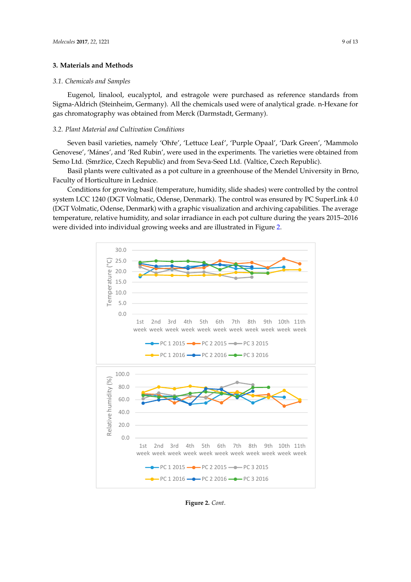### <span id="page-8-0"></span>**3. Materials and Methods 3. Materials and Methods**

# *3.1. Chemicals and Samples 3.1. Chemicals and Samples*

Eugenol, linalool, eucalyptol, and estragole were purchased as reference standards from Eugenol, linalool, eucalyptol, and estragole were purchased as reference standards from Sigma-Aldrich (Steinheim, Germany). All the chemicals used were of analytical grade. n-Hexane for Sigma-Aldrich (Steinheim, Germany). All the chemicals used were of analytical grade. n-Hexane for gas chromatography was obtained from Merck (Darmstadt, Germany). gas chromatography was obtained from Merck (Darmstadt, Germany).

# <span id="page-8-1"></span>*3.2. Plant Material and Cultivation Conditions 3.2. Plant Material and Cultivation Conditions*

Seven basil varieties, namely 'Ohˇre', 'Lettuce Leaf', 'Purple Opaal', 'Dark Green', 'Mammolo Seven basil varieties, namely 'Ohře', 'Lettuce Leaf', 'Purple Opaal', 'Dark Green', 'Mammolo Genovese', 'Mánes', and 'Red Rubin', were used in the experiments. The varieties were obtained from Genovese', 'Mánes', and 'Red Rubin', were used in the experiments. The varieties were obtained Semo Ltd. (Smržice, Czech Republic) and from Seva-Seed Ltd. (Valtice, Czech Republic). from Semo Ltd. (Smržice, Czech Republic) and from Seva-Seed Ltd. (Valtice, Czech Republic).

Basil plants were cultivated as a pot culture in a greenhouse of the Mendel University in Brno, Basil plants were cultivated as a pot culture in a greenhouse of the Mendel University in Brno, Faculty of Horticulture in Lednice. Faculty of Horticulture in Lednice.

Conditions for growing basil (temperature, humidity, slide shades) were controlled by the control Conditions for growing basil (temperature, humidity, slide shades) were controlled by the control system LCC 1240 (DGT Volmatic, Odense, Denmark). The control was ensured by PC SuperLink 4.0 system LCC 1240 (DGT Volmatic, Odense, Denmark). The control was ensured by PC SuperLink 4.0 (DGT Volmatic, Odense, Denmark) with a graphic visualization and archiving capabilities. The average (DGT Volmatic, Odense, Denmark) with a graphic visualization and archiving capabilities. The average temperature, relative humidity, and solar irradiance in each pot culture during the years 2015–2016 temperature, relative humidity, and solar irradiance in each pot culture during the years 2015–2016 were divided into individual growing weeks and are illustrated in Figure [2.](#page-9-1) were divided into individual growing weeks and are illustrated in Figure 2.



**Figure 2.** *Cont*.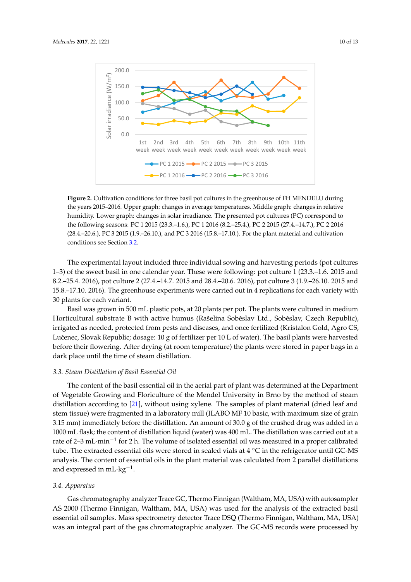<span id="page-9-1"></span>

**Figure 2.** Cultivation conditions for three basil pot cultures in the greenhouse of FH MENDELU **Figure 2.** Cultivation conditions for three basil pot cultures in the greenhouse of FH MENDELU during the years 2015–2016. Upper graph: changes in average temperatures. Middle graph: changes in relative humidity. Lower graph: changes in solar irradiance. The presented pot cultures (PC) correspond to the following seasons: PC 1 2015 (23.3.–1.6.), PC 1 2016 (8.2.–25.4.), PC 2 2015 (27.4.–14.7.), PC 2 2016 PC 2 2016 (28.4.–20.6.), PC 3 2015 (1.9.–26.10.), and PC 3 2016 (15.8.–17.10.). For the plant material and (28.4.–20.6.), PC 3 2015 (1.9.–26.10.), and PC 3 2016 (15.8.–17.10.). For the plant material and cultivation conditions see Section [3.2.](#page-8-1)

The experimental layout included three individual sowing and harvesting periods (pot cultures The experimental layout included three individual sowing and harvesting periods (pot cultures 1–3) of the sweet basil in one calendar year. These were following: pot culture 1 (23.3.–1.6. 2015 and 1–3) of the sweet basil in one calendar year. These were following: pot culture 1 (23.3.–1.6. 2015 and 8.2.–25.4. 2016), pot culture 2 (27.4.–14.7. 2015 and 28.4.–20.6. 2016), pot culture 3 (1.9.–26.10. 2015 and 8.2.–25.4. 2016), pot culture 2 (27.4.–14.7. 2015 and 28.4.–20.6. 2016), pot culture 3 (1.9.–26.10. 2015 and 15.8.–17.10. 2016). The greenhouse experiments were carried out in 4 replications for each variety with  $15.8$ .–17.10. 2016). The greenhouse experiments were carried out in 4 replications for each variety with plants for each variant. 30 plants for each variant.

Basil was grown in 500 mL plastic pots, at 20 plants per pot. The plants were cultured in Basil was grown in 500 mL plastic pots, at 20 plants per pot. The plants were cultured in medium medium Horticultural substrate B with active humus (Rašelina Soběslav Ltd., Soběslav, Czech Republic), Horticultural substrate B with active humus (Rašelina Sobˇeslav Ltd., Sobˇeslav, Czech Republic), irrigated as needed, protected from pests and diseases, and once fertilized (Kristalon Gold, Agro CS, irrigated as needed, protected from pests and diseases, and once fertilized (Kristalon Gold, Agro CS, Lučenec, Slovak Republic; dosage: 10 g of fertilizer per 10 L of water). The basil plants were Luˇcenec, Slovak Republic; dosage: 10 g of fertilizer per 10 L of water). The basil plants were harvested harvested before their flowering. After drying (at room temperature) the plants were stored in paper before their flowering. After drying (at room temperature) the plants were stored in paper bags in a bags in a dark place until the time of steam distillation. dark place until the time of steam distillation.

# <span id="page-9-0"></span>*3.3. Steam Distillation of Basil Essential Oil 3.3. Steam Distillation of Basil Essential Oil*

The content of the basil essential oil in the aerial part of plant was determined at the Department of Vegetable Growing and Floriculture of the Mendel University in Brno by the method of steam distillation according to [21], without using xylene. The samples of plant material (dried leaf and distillation according to [\[21\]](#page-12-10), without using xylene. The samples of plant material (dried leaf and stem tissue) were fragmented in a laboratory mill (ILABO MF 10 basic, with maximum size of grain stem tissue) were fragmented in a laboratory mill (ILABO MF 10 basic, with maximum size of grain 3.15 mm) immediately before the distillation. An amount of 30.0 g of the crushed drug was added in 3.15 mm) immediately before the distillation. An amount of 30.0 g of the crushed drug was added in a a 1000 mL flask; the content of distillation liquid (water) was 400 mL. The distillation was carried out 1000 mL flask; the content of distillation liquid (water) was 400 mL. The distillation was carried out at a rate of 2–3 mL·min<sup>-1</sup> for 2 h. The volume of isolated essential oil was measured in a proper calibrated tube. The extracted essential oils were stored in sealed vials at 4 °C in the refrigerator until GC-MS analysis. The content of essential oils in the plant material was calculated from 2 parallel distillations and expressed in mL·kg<sup>-1</sup>.

# *3.4. Apparatus 3.4. Apparatus*

Gas chromatography analyzer Trace GC, Thermo Finnigan (Waltham, MA, USA) with autosampler Gas chromatography analyzer Trace GC, Thermo Finnigan (Waltham, MA, USA) with autosampler AS 2000 (Thermo Finnigan, Waltham, MA, USA) was used for the analysis of the extracted basil AS 2000 (Thermo Finnigan, Waltham, MA, USA) was used for the analysis of the extracted basil essential oil samples. Mass spectrometry detector Trace DSQ (Thermo Finnigan, Waltham, MA, essential oil samples. Mass spectrometry detector Trace DSQ (Thermo Finnigan, Waltham, MA, USA) was an integral part of the gas chromatographic analyzer. The GC-MS records were processed by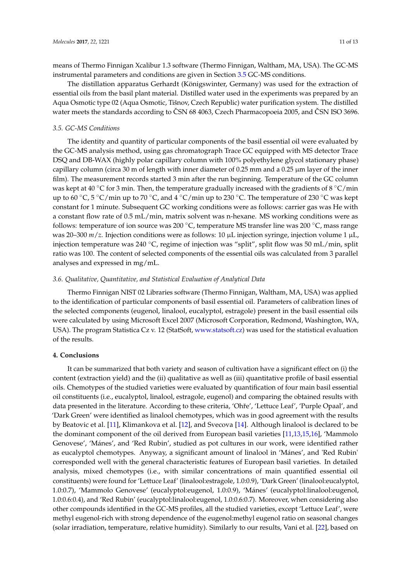means of Thermo Finnigan Xcalibur 1.3 software (Thermo Finnigan, Waltham, MA, USA). The GC-MS instrumental parameters and conditions are given in Section [3.5](#page-10-0) GC-MS conditions.

The distillation apparatus Gerhardt (Königswinter, Germany) was used for the extraction of essential oils from the basil plant material. Distilled water used in the experiments was prepared by an Aqua Osmotic type 02 (Aqua Osmotic, Tišnov, Czech Republic) water purification system. The distilled water meets the standards according to ČSN 68 4063, Czech Pharmacopoeia 2005, and ČSN ISO 3696.

### <span id="page-10-0"></span>*3.5. GC-MS Conditions*

The identity and quantity of particular components of the basil essential oil were evaluated by the GC-MS analysis method, using gas chromatograph Trace GC equipped with MS detector Trace DSQ and DB-WAX (highly polar capillary column with 100% polyethylene glycol stationary phase) capillary column (circa 30 m of length with inner diameter of 0.25 mm and a 0.25 µm layer of the inner film). The measurement records started 3 min after the run beginning. Temperature of the GC column was kept at 40 °C for 3 min. Then, the temperature gradually increased with the gradients of 8 °C/min up to 60  $\degree$ C, 5  $\degree$ C/min up to 70  $\degree$ C, and 4  $\degree$ C/min up to 230  $\degree$ C. The temperature of 230  $\degree$ C was kept constant for 1 minute. Subsequent GC working conditions were as follows: carrier gas was He with a constant flow rate of 0.5 mL/min, matrix solvent was n-hexane. MS working conditions were as follows: temperature of ion source was 200 ◦C, temperature MS transfer line was 200 ◦C, mass range was 20–300 *m*/*z*. Injection conditions were as follows: 10 µL injection syringe, injection volume 1 µL, injection temperature was 240 ◦C, regime of injection was "split", split flow was 50 mL/min, split ratio was 100. The content of selected components of the essential oils was calculated from 3 parallel analyses and expressed in mg/mL.

### *3.6. Qualitative, Quantitative, and Statistical Evaluation of Analytical Data*

Thermo Finnigan NIST 02 Libraries software (Thermo Finnigan, Waltham, MA, USA) was applied to the identification of particular components of basil essential oil. Parameters of calibration lines of the selected components (eugenol, linalool, eucalyptol, estragole) present in the basil essential oils were calculated by using Microsoft Excel 2007 (Microsoft Corporation, Redmond, Washington, WA, USA). The program Statistica Cz v. 12 (StatSoft, [www.statsoft.cz\)](www.statsoft.cz) was used for the statistical evaluation of the results.

### **4. Conclusions**

It can be summarized that both variety and season of cultivation have a significant effect on (i) the content (extraction yield) and the (ii) qualitative as well as (iii) quantitative profile of basil essential oils. Chemotypes of the studied varieties were evaluated by quantification of four main basil essential oil constituents (i.e., eucalyptol, linalool, estragole, eugenol) and comparing the obtained results with data presented in the literature. According to these criteria, 'Ohře', 'Lettuce Leaf', 'Purple Opaal', and 'Dark Green' were identified as linalool chemotypes, which was in good agreement with the results by Beatovic et al. [\[11\]](#page-12-0), Klimankova et al. [\[12\]](#page-12-1), and Svecova [\[14\]](#page-12-3). Although linalool is declared to be the dominant component of the oil derived from European basil varieties [\[11](#page-12-0)[,13](#page-12-2)[,15](#page-12-4)[,16\]](#page-12-5), 'Mammolo Genovese', 'Mánes', and 'Red Rubin', studied as pot cultures in our work, were identified rather as eucalyptol chemotypes. Anyway, a significant amount of linalool in 'Mánes', and 'Red Rubin' corresponded well with the general characteristic features of European basil varieties. In detailed analysis, mixed chemotypes (i.e., with similar concentrations of main quantified essential oil constituents) were found for 'Lettuce Leaf' (linalool:estragole, 1.0:0.9), 'Dark Green' (linalool:eucalyptol, 1.0:0.7), 'Mammolo Genovese' (eucalyptol:eugenol, 1.0:0.9), 'Mánes' (eucalyptol:linalool:eugenol, 1.0:0.6:0.4), and 'Red Rubin' (eucalyptol:linalool:eugenol, 1.0:0.6:0.7). Moreover, when considering also other compounds identified in the GC-MS profiles, all the studied varieties, except 'Lettuce Leaf', were methyl eugenol-rich with strong dependence of the eugenol:methyl eugenol ratio on seasonal changes (solar irradiation, temperature, relative humidity). Similarly to our results, Vani et al. [\[22\]](#page-12-11), based on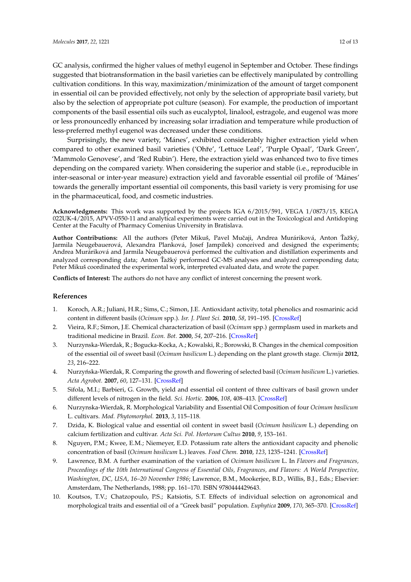GC analysis, confirmed the higher values of methyl eugenol in September and October. These findings suggested that biotransformation in the basil varieties can be effectively manipulated by controlling cultivation conditions. In this way, maximization/minimization of the amount of target component in essential oil can be provided effectively, not only by the selection of appropriate basil variety, but also by the selection of appropriate pot culture (season). For example, the production of important components of the basil essential oils such as eucalyptol, linalool, estragole, and eugenol was more or less pronouncedly enhanced by increasing solar irradiation and temperature while production of less-preferred methyl eugenol was decreased under these conditions.

Surprisingly, the new variety, 'Mánes', exhibited considerably higher extraction yield when compared to other examined basil varieties ('Ohře', 'Lettuce Leaf', 'Purple Opaal', 'Dark Green', 'Mammolo Genovese', and 'Red Rubin'). Here, the extraction yield was enhanced two to five times depending on the compared variety. When considering the superior and stable (i.e., reproducible in inter-seasonal or inter-year measure) extraction yield and favorable essential oil profile of 'Mánes' towards the generally important essential oil components, this basil variety is very promising for use in the pharmaceutical, food, and cosmetic industries.

**Acknowledgments:** This work was supported by the projects IGA 6/2015/591, VEGA 1/0873/15, KEGA 022UK-4/2015, APVV-0550-11 and analytical experiments were carried out in the Toxicological and Antidoping Center at the Faculty of Pharmacy Comenius University in Bratislava.

Author Contributions: All the authors (Peter Mikuš, Pavel Mučaji, Andrea Muráriková, Anton Ťažký, Jarmila Neugebauerová, Alexandra Planková, Josef Jampílek) conceived and designed the experiments; Andrea Muráriková and Jarmila Neugebauerová performed the cultivation and distillation experiments and analyzed corresponding data; Anton Ťažký performed GC-MS analyses and analyzed corresponding data; Peter Mikuš coordinated the experimental work, interpreted evaluated data, and wrote the paper.

**Conflicts of Interest:** The authors do not have any conflict of interest concerning the present work.

#### **References**

- <span id="page-11-0"></span>1. Koroch, A.R.; Juliani, H.R.; Sims, C.; Simon, J.E. Antioxidant activity, total phenolics and rosmarinic acid content in different basils (*Ocimum* spp.). *Isr. J. Plant Sci.* **2010**, *58*, 191–195. [\[CrossRef\]](http://dx.doi.org/10.1560/IJPS.58.3-4.191)
- <span id="page-11-1"></span>2. Vieira, R.F.; Simon, J.E. Chemical characterization of basil (*Ocimum* spp.) germplasm used in markets and traditional medicine in Brazil. *Econ. Bot.* **2000**, *54*, 207–216. [\[CrossRef\]](http://dx.doi.org/10.1007/BF02907824)
- <span id="page-11-2"></span>3. Nurzynska-Wierdak, R.; Bogucka-Kocka, A.; Kowalski, R.; Borowski, B. Changes in the chemical composition of the essential oil of sweet basil (*Ocimum basilicum* L.) depending on the plant growth stage. *Chemija* **2012**, *23*, 216–222.
- <span id="page-11-3"></span>4. Nurzy ´nska-Wierdak, R. Comparing the growth and flowering of selected basil (*Ocimum basilicum* L.) varieties. *Acta Agrobot.* **2007**, *60*, 127–131. [\[CrossRef\]](http://dx.doi.org/10.5586/aa.2007.040)
- <span id="page-11-4"></span>5. Sifola, M.I.; Barbieri, G. Growth, yield and essential oil content of three cultivars of basil grown under different levels of nitrogen in the field. *Sci. Hortic.* **2006**, *108*, 408–413. [\[CrossRef\]](http://dx.doi.org/10.1016/j.scienta.2006.02.002)
- 6. Nurzynska-Wierdak, R. Morphological Variability and Essential Oil Composition of four *Ocimum basilicum* L. cultivars. *Mod. Phytomorphol.* **2013**, *3*, 115–118.
- <span id="page-11-5"></span>7. Dzida, K. Biological value and essential oil content in sweet basil (*Ocimum basilicum* L.) depending on calcium fertilization and cultivar. *Acta Sci. Pol. Hortorum Cultus* **2010**, *9*, 153–161.
- <span id="page-11-6"></span>8. Nguyen, P.M.; Kwee, E.M.; Niemeyer, E.D. Potassium rate alters the antioxidant capacity and phenolic concentration of basil (*Ocimum basilicum* L.) leaves. *Food Chem.* **2010**, *123*, 1235–1241. [\[CrossRef\]](http://dx.doi.org/10.1016/j.foodchem.2010.05.092)
- <span id="page-11-7"></span>9. Lawrence, B.M. A further examination of the variation of *Ocimum basilicum* L. In *Flavors and Fragrances, Proceedings of the 10th International Congress of Essential Oils, Fragrances, and Flavors: A World Perspective, Washington, DC, USA, 16–20 November 1986*; Lawrence, B.M., Mookerjee, B.D., Willis, B.J., Eds.; Elsevier: Amsterdam, The Netherlands, 1988; pp. 161–170. ISBN 9780444429643.
- <span id="page-11-8"></span>10. Koutsos, T.V.; Chatzopoulo, P.S.; Katsiotis, S.T. Effects of individual selection on agronomical and morphological traits and essential oil of a "Greek basil" population. *Euphytica* **2009**, *170*, 365–370. [\[CrossRef\]](http://dx.doi.org/10.1007/s10681-009-0012-7)